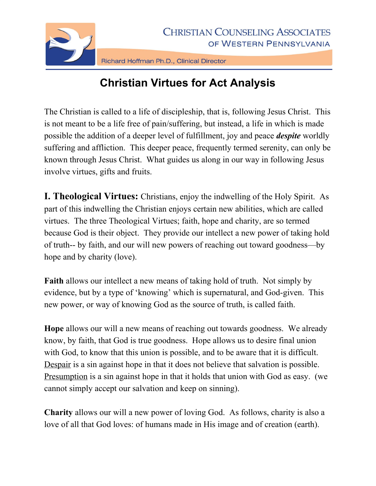

Richard Hoffman Ph.D., Clinical Director

## **Christian Virtues for Act Analysis**

The Christian is called to a life of discipleship, that is, following Jesus Christ. This is not meant to be a life free of pain/suffering, but instead, a life in which is made possible the addition of a deeper level of fulfillment, joy and peace *despite* worldly suffering and affliction. This deeper peace, frequently termed serenity, can only be known through Jesus Christ. What guides us along in our way in following Jesus involve virtues, gifts and fruits.

**I. Theological Virtues:** Christians, enjoy the indwelling of the Holy Spirit. As part of this indwelling the Christian enjoys certain new abilities, which are called virtues. The three Theological Virtues; faith, hope and charity, are so termed because God is their object. They provide our intellect a new power of taking hold of truth-- by faith, and our will new powers of reaching out toward goodness—by hope and by charity (love).

**Faith** allows our intellect a new means of taking hold of truth. Not simply by evidence, but by a type of 'knowing' which is supernatural, and God-given. This new power, or way of knowing God as the source of truth, is called faith.

**Hope** allows our will a new means of reaching out towards goodness. We already know, by faith, that God is true goodness. Hope allows us to desire final union with God, to know that this union is possible, and to be aware that it is difficult. Despair is a sin against hope in that it does not believe that salvation is possible. Presumption is a sin against hope in that it holds that union with God as easy. (we cannot simply accept our salvation and keep on sinning).

**Charity** allows our will a new power of loving God. As follows, charity is also a love of all that God loves: of humans made in His image and of creation (earth).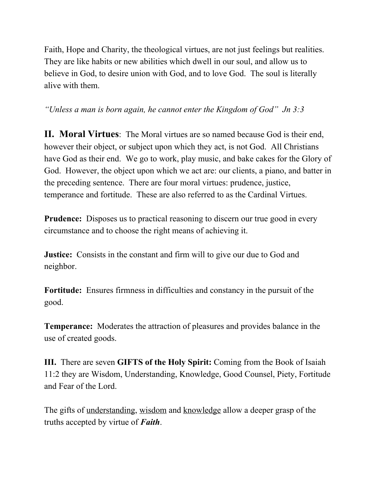Faith, Hope and Charity, the theological virtues, are not just feelings but realities. They are like habits or new abilities which dwell in our soul, and allow us to believe in God, to desire union with God, and to love God. The soul is literally alive with them.

*"Unless a man is born again, he cannot enter the Kingdom of God" Jn 3:3*

**II. Moral Virtues**: The Moral virtues are so named because God is their end, however their object, or subject upon which they act, is not God. All Christians have God as their end. We go to work, play music, and bake cakes for the Glory of God. However, the object upon which we act are: our clients, a piano, and batter in the preceding sentence. There are four moral virtues: prudence, justice, temperance and fortitude. These are also referred to as the Cardinal Virtues.

**Prudence:** Disposes us to practical reasoning to discern our true good in every circumstance and to choose the right means of achieving it.

**Justice:** Consists in the constant and firm will to give our due to God and neighbor.

**Fortitude:** Ensures firmness in difficulties and constancy in the pursuit of the good.

**Temperance:** Moderates the attraction of pleasures and provides balance in the use of created goods.

**III.** There are seven **GIFTS of the Holy Spirit:** Coming from the Book of Isaiah 11:2 they are Wisdom, Understanding, Knowledge, Good Counsel, Piety, Fortitude and Fear of the Lord.

The gifts of understanding, wisdom and knowledge allow a deeper grasp of the truths accepted by virtue of *Faith*.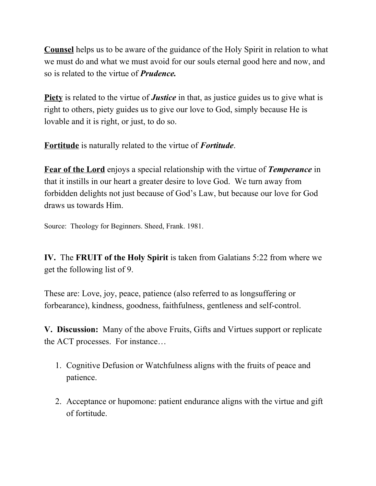**Counsel** helps us to be aware of the guidance of the Holy Spirit in relation to what we must do and what we must avoid for our souls eternal good here and now, and so is related to the virtue of *Prudence.*

**Piety** is related to the virtue of *Justice* in that, as justice guides us to give what is right to others, piety guides us to give our love to God, simply because He is lovable and it is right, or just, to do so.

**Fortitude** is naturally related to the virtue of *Fortitude*.

**Fear of the Lord** enjoys a special relationship with the virtue of *Temperance* in that it instills in our heart a greater desire to love God. We turn away from forbidden delights not just because of God's Law, but because our love for God draws us towards Him.

Source: Theology for Beginners. Sheed, Frank. 1981.

**IV.** The **FRUIT of the Holy Spirit** is taken from Galatians 5:22 from where we get the following list of 9.

These are: Love, joy, peace, patience (also referred to as longsuffering or forbearance), kindness, goodness, faithfulness, gentleness and self-control.

**V. Discussion:** Many of the above Fruits, Gifts and Virtues support or replicate the ACT processes. For instance…

- 1. Cognitive Defusion or Watchfulness aligns with the fruits of peace and patience.
- 2. Acceptance or hupomone: patient endurance aligns with the virtue and gift of fortitude.